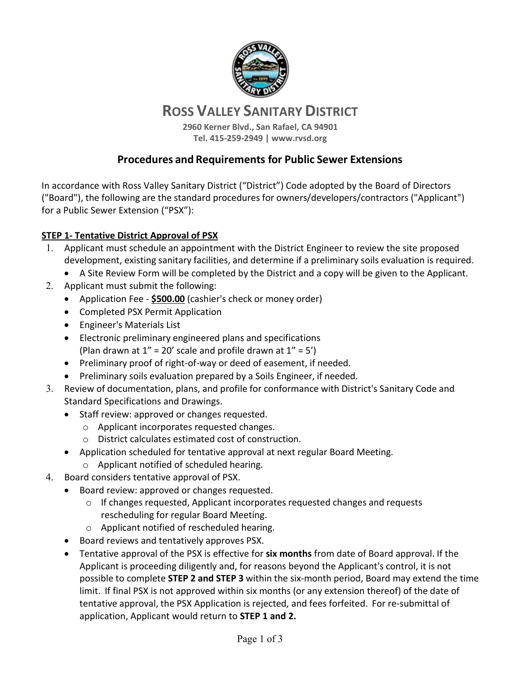

# **ROSS VALLEY SANITARY DISTRICT**

**2960 Kerner Blvd., San Rafael, CA 94901 Tel. 415-259-2949 | www.rvsd.org**

## **Procedures and Requirements for Public Sewer Extensions**

In accordance with Ross Valley Sanitary District ("District") Code adopted by the Board of Directors ("Board"), the following are the standard procedures for owners/developers/contractors ("Applicant") for a Public Sewer Extension ("PSX"):

#### **STEP 1- Tentative District Approval of PSX**

- 1. Applicant must schedule an appointment with the District Engineer to review the site proposed development, existing sanitary facilities, and determine if a preliminary soils evaluation is required.
	- A Site Review Form will be completed by the District and a copy will be given to the Applicant.
- 2. Applicant must submit the following:
	- Application Fee **\$500.00** (cashier's check or money order)
	- Completed PSX Permit Application
	- Engineer's Materials List
	- Electronic preliminary engineered plans and specifications (Plan drawn at  $1'' = 20'$  scale and profile drawn at  $1'' = 5'$ )
	- Preliminary proof of right-of-way or deed of easement, if needed.
	- Preliminary soils evaluation prepared by a Soils Engineer, if needed.
- 3. Review of documentation, plans, and profile for conformance with District's Sanitary Code and Standard Specifications and Drawings.
	- Staff review: approved or changes requested.
		- o Applicant incorporates requested changes.
		- o District calculates estimated cost of construction.
	- Application scheduled for tentative approval at next regular Board Meeting.
		- o Applicant notified of scheduled hearing.
- 4. Board considers tentative approval of PSX.
	- Board review: approved or changes requested.
		- $\circ$  If changes requested, Applicant incorporates requested changes and requests rescheduling for regular Board Meeting.
		- o Applicant notified of rescheduled hearing.
	- Board reviews and tentatively approves PSX.
	- Tentative approval of the PSX is effective for **six months** from date of Board approval. If the Applicant is proceeding diligently and, for reasons beyond the Applicant's control, it is not possible to complete **STEP 2 and STEP 3** within the six-month period, Board may extend the time limit. If final PSX is not approved within six months (or any extension thereof) of the date of tentative approval, the PSX Application is rejected, and fees forfeited. For re-submittal of application, Applicant would return to **STEP 1 and 2.**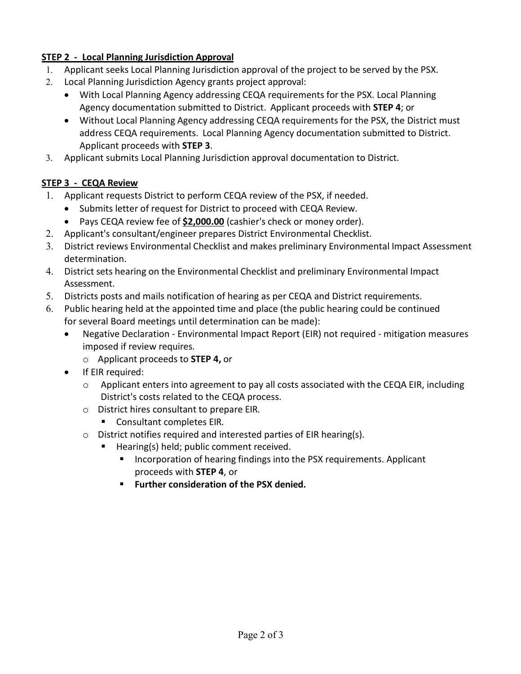## **STEP 2 - Local Planning Jurisdiction Approval**

- 1. Applicant seeks Local Planning Jurisdiction approval of the project to be served by the PSX.
- 2. Local Planning Jurisdiction Agency grants project approval:
	- With Local Planning Agency addressing CEQA requirements for the PSX. Local Planning Agency documentation submitted to District. Applicant proceeds with **STEP 4**; or
	- Without Local Planning Agency addressing CEQA requirements for the PSX, the District must address CEQA requirements. Local Planning Agency documentation submitted to District. Applicant proceeds with **STEP 3**.
- 3. Applicant submits Local Planning Jurisdiction approval documentation to District.

## **STEP 3 - CEQA Review**

- 1. Applicant requests District to perform CEQA review of the PSX, if needed.
	- Submits letter of request for District to proceed with CEQA Review.
	- Pays CEQA review fee of **\$2,000.00** (cashier's check or money order).
- 2. Applicant's consultant/engineer prepares District Environmental Checklist.
- 3. District reviews Environmental Checklist and makes preliminary Environmental Impact Assessment determination.
- 4. District sets hearing on the Environmental Checklist and preliminary Environmental Impact Assessment.
- 5. Districts posts and mails notification of hearing as per CEQA and District requirements.
- 6. Public hearing held at the appointed time and place (the public hearing could be continued for several Board meetings until determination can be made):
	- Negative Declaration Environmental Impact Report (EIR) not required mitigation measures imposed if review requires.
		- o Applicant proceeds to **STEP 4,** or
	- If EIR required:
		- o Applicant enters into agreement to pay all costs associated with the CEQA EIR, including District's costs related to the CEQA process.
		- o District hires consultant to prepare EIR.
			- Consultant completes EIR.
		- o District notifies required and interested parties of EIR hearing(s).
			- Hearing(s) held; public comment received.
				- Incorporation of hearing findings into the PSX requirements. Applicant proceeds with **STEP 4**, or
				- **Further consideration of the PSX denied.**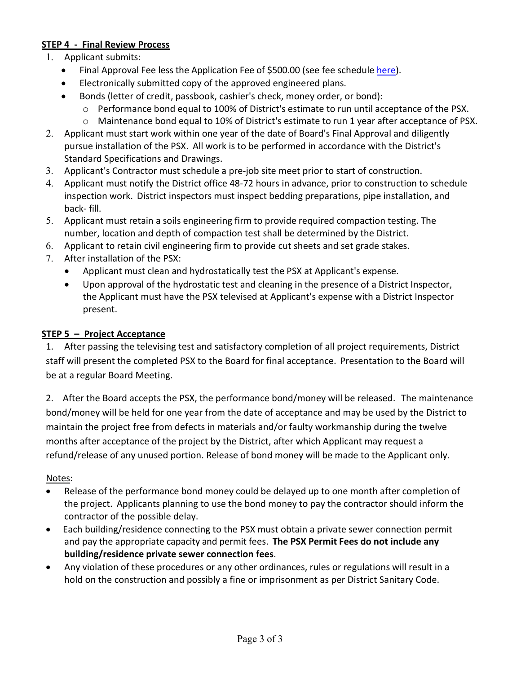## **STEP 4 - Final Review Process**

- 1. Applicant submits:
	- Final Approval Fee less the Application Fee of \$500.00 (see fee schedule [here\)](https://www.rvsd.org/DocumentCenter/View/1139/Permit-and-Capacity-Fees-Effective-July-1-2021?bidId=).
	- Electronically submitted copy of the approved engineered plans.
	- Bonds (letter of credit, passbook, cashier's check, money order, or bond):
		- o Performance bond equal to 100% of District's estimate to run until acceptance of the PSX.
		- o Maintenance bond equal to 10% of District's estimate to run 1 year after acceptance of PSX.
- 2. Applicant must start work within one year of the date of Board's Final Approval and diligently pursue installation of the PSX. All work is to be performed in accordance with the District's Standard Specifications and Drawings.
- 3. Applicant's Contractor must schedule a pre-job site meet prior to start of construction.
- 4. Applicant must notify the District office 48-72 hours in advance, prior to construction to schedule inspection work. District inspectors must inspect bedding preparations, pipe installation, and back- fill.
- 5. Applicant must retain a soils engineering firm to provide required compaction testing. The number, location and depth of compaction test shall be determined by the District.
- 6. Applicant to retain civil engineering firm to provide cut sheets and set grade stakes.
- 7. After installation of the PSX:
	- Applicant must clean and hydrostatically test the PSX at Applicant's expense.
	- Upon approval of the hydrostatic test and cleaning in the presence of a District Inspector, the Applicant must have the PSX televised at Applicant's expense with a District Inspector present.

#### **STEP 5 – Project Acceptance**

1. After passing the televising test and satisfactory completion of all project requirements, District staff will present the completed PSX to the Board for final acceptance. Presentation to the Board will be at a regular Board Meeting.

2. After the Board accepts the PSX, the performance bond/money will be released. The maintenance bond/money will be held for one year from the date of acceptance and may be used by the District to maintain the project free from defects in materials and/or faulty workmanship during the twelve months after acceptance of the project by the District, after which Applicant may request a refund/release of any unused portion. Release of bond money will be made to the Applicant only.

#### Notes:

- Release of the performance bond money could be delayed up to one month after completion of the project. Applicants planning to use the bond money to pay the contractor should inform the contractor of the possible delay.
- Each building/residence connecting to the PSX must obtain a private sewer connection permit and pay the appropriate capacity and permit fees. **The PSX Permit Fees do not include any building/residence private sewer connection fees**.
- Any violation of these procedures or any other ordinances, rules or regulations will result in a hold on the construction and possibly a fine or imprisonment as per District Sanitary Code.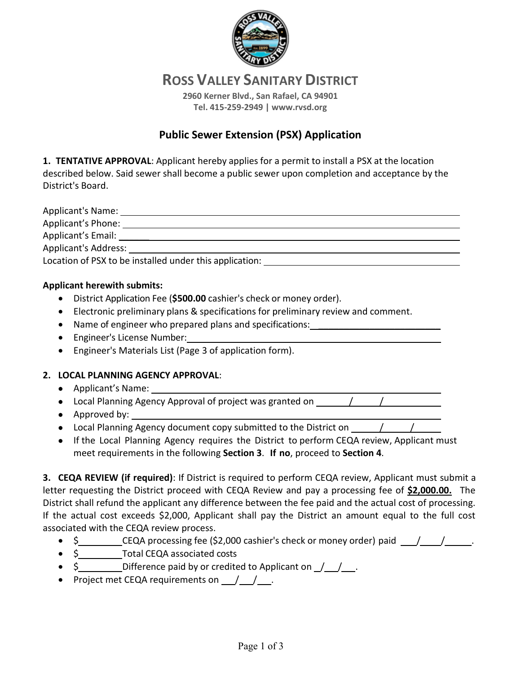

**ROSS VALLEY SANITARY DISTRICT**

**2960 Kerner Blvd., San Rafael, CA 94901 Tel. 415-259-2949 | www.rvsd.org**

# **Public Sewer Extension (PSX) Application**

**1. TENTATIVE APPROVAL**: Applicant hereby applies for a permit to install a PSX at the location described below. Said sewer shall become a public sewer upon completion and acceptance by the District's Board.

Applicant's Name: Applicant's Phone: Applicant's Email: <u>and the set of the set of the set of the set of the set of the set of the set of the set of the set of the set of the set of the set of the set of the set of the set of the set of the set of the set of </u> Applicant's Address: Location of PSX to be installed under this application:

#### **Applicant herewith submits:**

- District Application Fee (**\$500.00** cashier's check or money order).
- Electronic preliminary plans & specifications for preliminary review and comment.
- Name of engineer who prepared plans and specifications: \_\_\_\_\_\_\_\_\_\_\_\_\_\_\_\_\_\_\_\_\_\_
- Engineer's License Number:
- Engineer's Materials List (Page 3 of application form).

#### **2. LOCAL PLANNING AGENCY APPROVAL**:

- Applicant's Name:
- Local Planning Agency Approval of project was granted on / /
- Approved by:
- Local Planning Agency document copy submitted to the District on / /
- If the Local Planning Agency requires the District to perform CEQA review, Applicant must meet requirements in the following **Section 3**. **If no**, proceed to **Section 4**.

**3. CEQA REVIEW (if required)**: If District is required to perform CEQA review, Applicant must submit a letter requesting the District proceed with CEQA Review and pay a processing fee of \$2,000.00. The District shall refund the applicant any difference between the fee paid and the actual cost of processing. If the actual cost exceeds \$2,000, Applicant shall pay the District an amount equal to the full cost associated with the CEQA review process.

- $\frac{1}{2}$  CEQA processing fee (\$2,000 cashier's check or money order) paid  $\frac{1}{\sqrt{2}}$ .
- \$ Total CEQA associated costs
- $\sin \theta$  Difference paid by or credited to Applicant on  $\frac{1}{\sqrt{2}}$ .
- Project met CEQA requirements on  $\frac{1}{\sqrt{2}}$ .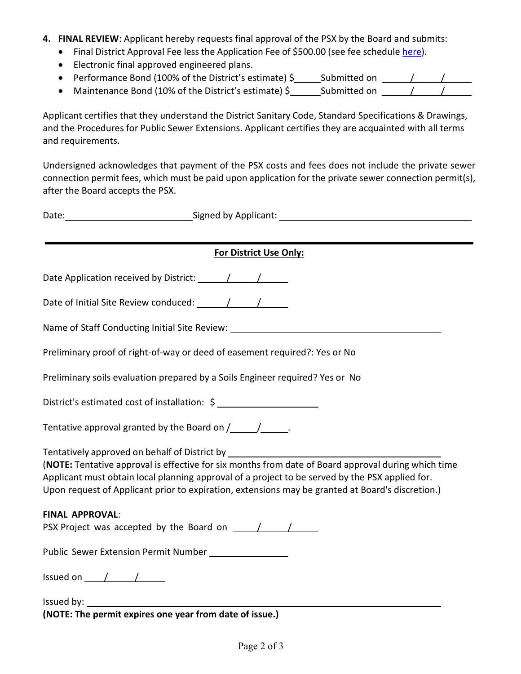- **4. FINAL REVIEW**: Applicant hereby requests final approval of the PSX by the Board and submits:
	- Final District Approval Fee less the Application Fee of \$500.00 (see fee schedule [here\)](https://www.rvsd.org/DocumentCenter/View/1139/Permit-and-Capacity-Fees-Effective-July-1-2021?bidId=).
	- Electronic final approved engineered plans.
	- Performance Bond (100% of the District's estimate) \$<br>
	Submitted on  $\frac{1}{\sqrt{2}}$
	- Maintenance Bond (10% of the District's estimate) \$\_\_\_\_\_\_\_\_\_\_\_\_\_\_\_\_\_\_\_\_\_\_\_\_\_\_\_

Applicant certifies that they understand the District Sanitary Code, Standard Specifications & Drawings, and the Procedures for Public Sewer Extensions. Applicant certifies they are acquainted with all terms and requirements.

Undersigned acknowledges that payment of the PSX costs and fees does not include the private sewer connection permit fees, which must be paid upon application for the private sewer connection permit(s), after the Board accepts the PSX.

| Date: Care Contract Contract Contract Contract Contract Contract Contract Contract Contract Contract Contract Contract Contract Contract Contract Contract Contract Contract Contract Contract Contract Contract Contract Cont                                                                                                                                                                 |  |  |  |  |
|------------------------------------------------------------------------------------------------------------------------------------------------------------------------------------------------------------------------------------------------------------------------------------------------------------------------------------------------------------------------------------------------|--|--|--|--|
|                                                                                                                                                                                                                                                                                                                                                                                                |  |  |  |  |
| <b>For District Use Only:</b>                                                                                                                                                                                                                                                                                                                                                                  |  |  |  |  |
|                                                                                                                                                                                                                                                                                                                                                                                                |  |  |  |  |
|                                                                                                                                                                                                                                                                                                                                                                                                |  |  |  |  |
|                                                                                                                                                                                                                                                                                                                                                                                                |  |  |  |  |
| Preliminary proof of right-of-way or deed of easement required?: Yes or No                                                                                                                                                                                                                                                                                                                     |  |  |  |  |
| Preliminary soils evaluation prepared by a Soils Engineer required? Yes or No                                                                                                                                                                                                                                                                                                                  |  |  |  |  |
|                                                                                                                                                                                                                                                                                                                                                                                                |  |  |  |  |
| Tentative approval granted by the Board on $\sqrt{\frac{1}{1-\frac{1}{1-\cdots}}}}$ .                                                                                                                                                                                                                                                                                                          |  |  |  |  |
| Tentatively approved on behalf of District by __________________________________<br>(NOTE: Tentative approval is effective for six months from date of Board approval during which time<br>Applicant must obtain local planning approval of a project to be served by the PSX applied for.<br>Upon request of Applicant prior to expiration, extensions may be granted at Board's discretion.) |  |  |  |  |
| <b>FINAL APPROVAL:</b>                                                                                                                                                                                                                                                                                                                                                                         |  |  |  |  |
|                                                                                                                                                                                                                                                                                                                                                                                                |  |  |  |  |
| Public Sewer Extension Permit Number _________________                                                                                                                                                                                                                                                                                                                                         |  |  |  |  |
| Issued on $\sqrt{2\pi}$                                                                                                                                                                                                                                                                                                                                                                        |  |  |  |  |
| (NOTE: The permit expires one year from date of issue.)                                                                                                                                                                                                                                                                                                                                        |  |  |  |  |